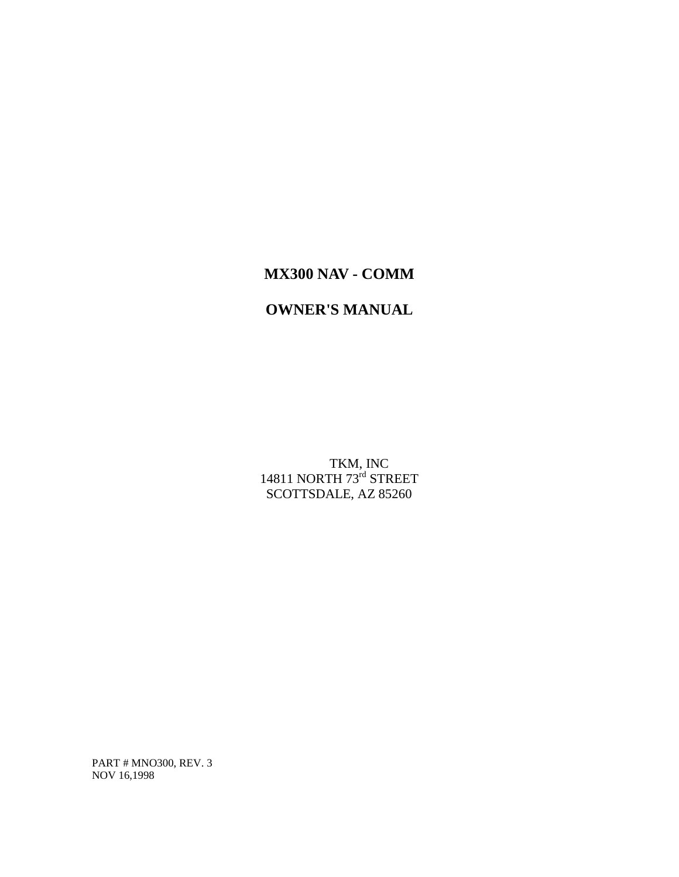# **MX300 NAV - COMM**

# **OWNER'S MANUAL**

 TKM, INC 14811 NORTH 73<sup>rd</sup> STREET SCOTTSDALE, AZ 85260

PART # MNO300, REV. 3 NOV 16,1998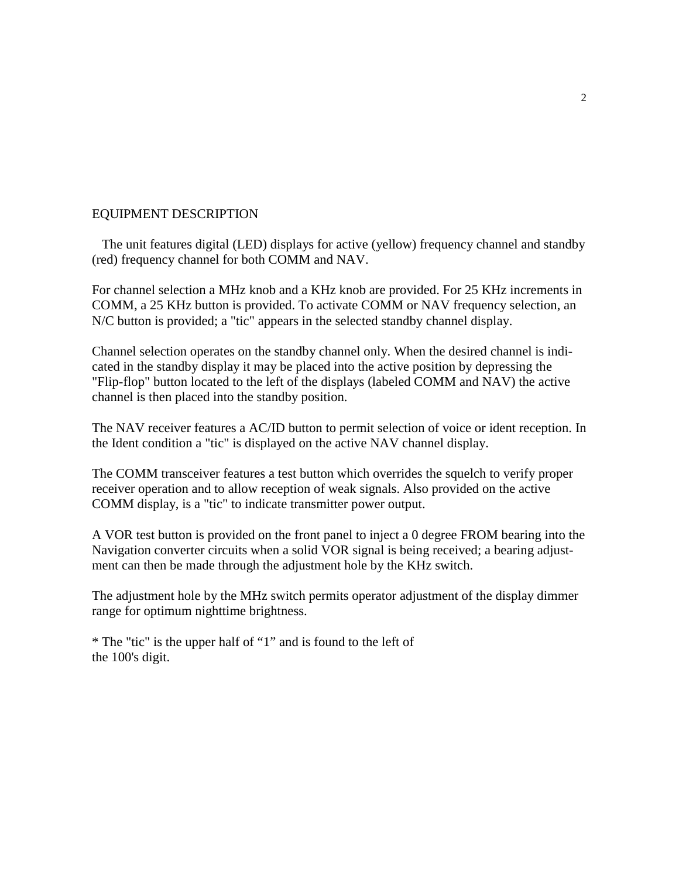## EQUIPMENT DESCRIPTION

 The unit features digital (LED) displays for active (yellow) frequency channel and standby (red) frequency channel for both COMM and NAV.

For channel selection a MHz knob and a KHz knob are provided. For 25 KHz increments in COMM, a 25 KHz button is provided. To activate COMM or NAV frequency selection, an N/C button is provided; a "tic" appears in the selected standby channel display.

Channel selection operates on the standby channel only. When the desired channel is indicated in the standby display it may be placed into the active position by depressing the "Flip-flop" button located to the left of the displays (labeled COMM and NAV) the active channel is then placed into the standby position.

The NAV receiver features a AC/ID button to permit selection of voice or ident reception. In the Ident condition a "tic" is displayed on the active NAV channel display.

The COMM transceiver features a test button which overrides the squelch to verify proper receiver operation and to allow reception of weak signals. Also provided on the active COMM display, is a "tic" to indicate transmitter power output.

A VOR test button is provided on the front panel to inject a 0 degree FROM bearing into the Navigation converter circuits when a solid VOR signal is being received; a bearing adjustment can then be made through the adjustment hole by the KHz switch.

The adjustment hole by the MHz switch permits operator adjustment of the display dimmer range for optimum nighttime brightness.

\* The "tic" is the upper half of "1" and is found to the left of the 100's digit.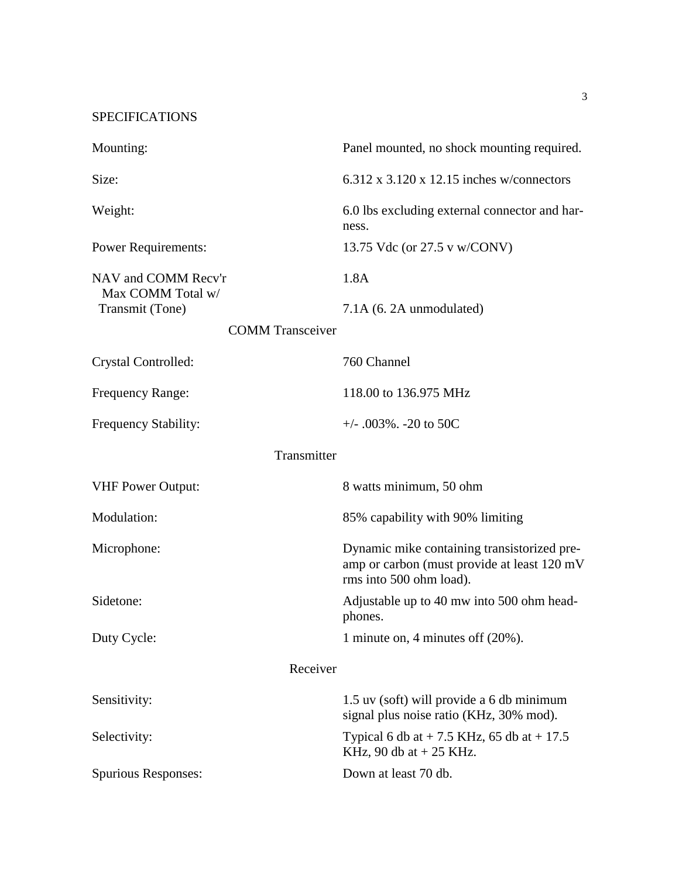SPECIFICATIONS

| Mounting:                                | Panel mounted, no shock mounting required.                                                                            |
|------------------------------------------|-----------------------------------------------------------------------------------------------------------------------|
| Size:                                    | $6.312 \times 3.120 \times 12.15$ inches w/connectors                                                                 |
| Weight:                                  | 6.0 lbs excluding external connector and har-<br>ness.                                                                |
| <b>Power Requirements:</b>               | 13.75 Vdc (or 27.5 v w/CONV)                                                                                          |
| NAV and COMM Recv'r<br>Max COMM Total w/ | 1.8A                                                                                                                  |
| Transmit (Tone)                          | 7.1A (6. 2A unmodulated)                                                                                              |
| <b>COMM</b> Transceiver                  |                                                                                                                       |
| Crystal Controlled:                      | 760 Channel                                                                                                           |
| Frequency Range:                         | 118.00 to 136.975 MHz                                                                                                 |
| Frequency Stability:                     | $+/-$ .003%. -20 to 50C                                                                                               |
| Transmitter                              |                                                                                                                       |
| <b>VHF Power Output:</b>                 | 8 watts minimum, 50 ohm                                                                                               |
| Modulation:                              | 85% capability with 90% limiting                                                                                      |
| Microphone:                              | Dynamic mike containing transistorized pre-<br>amp or carbon (must provide at least 120 mV<br>rms into 500 ohm load). |
| Sidetone:                                | Adjustable up to 40 mw into 500 ohm head-<br>phones.                                                                  |
| Duty Cycle:                              | 1 minute on, 4 minutes of $(20\%)$ .                                                                                  |
| Receiver                                 |                                                                                                                       |
| Sensitivity:                             | 1.5 uv (soft) will provide a 6 db minimum<br>signal plus noise ratio (KHz, 30% mod).                                  |
| Selectivity:                             | Typical 6 db at $+ 7.5$ KHz, 65 db at $+ 17.5$<br>KHz, 90 db at $+$ 25 KHz.                                           |
| <b>Spurious Responses:</b>               | Down at least 70 db.                                                                                                  |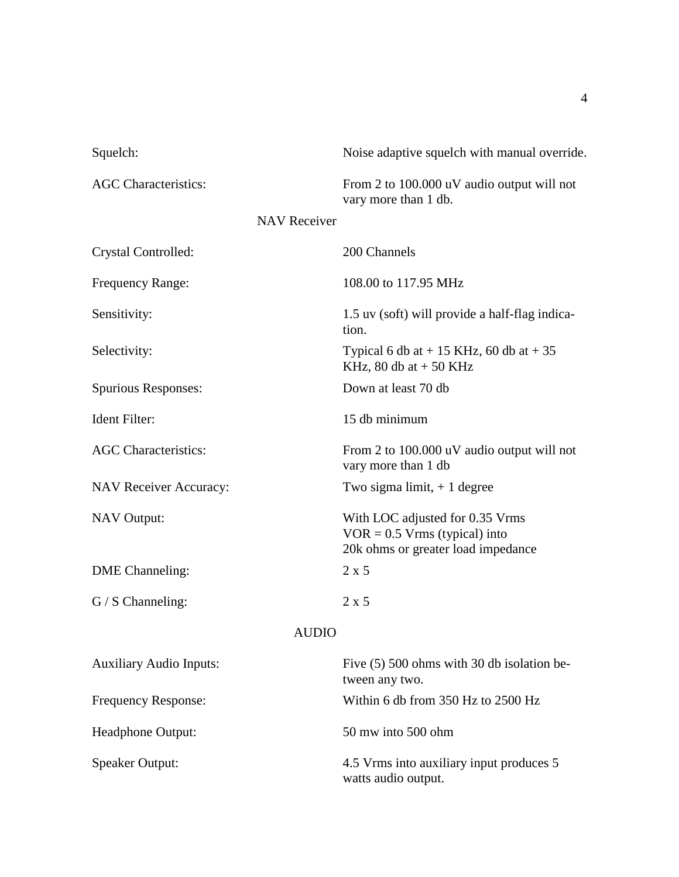| Squelch:                       | Noise adaptive squelch with manual override.                                                             |  |
|--------------------------------|----------------------------------------------------------------------------------------------------------|--|
| <b>AGC</b> Characteristics:    | From 2 to 100.000 uV audio output will not<br>vary more than 1 db.                                       |  |
| <b>NAV Receiver</b>            |                                                                                                          |  |
| Crystal Controlled:            | 200 Channels                                                                                             |  |
| Frequency Range:               | 108.00 to 117.95 MHz                                                                                     |  |
| Sensitivity:                   | 1.5 uv (soft) will provide a half-flag indica-<br>tion.                                                  |  |
| Selectivity:                   | Typical 6 db at $+$ 15 KHz, 60 db at $+$ 35<br>KHz, 80 db at $+$ 50 KHz                                  |  |
| Spurious Responses:            | Down at least 70 db                                                                                      |  |
| Ident Filter:                  | 15 db minimum                                                                                            |  |
| <b>AGC</b> Characteristics:    | From 2 to 100.000 uV audio output will not<br>vary more than 1 db                                        |  |
| <b>NAV Receiver Accuracy:</b>  | Two sigma limit, $+1$ degree                                                                             |  |
| <b>NAV</b> Output:             | With LOC adjusted for 0.35 Vrms<br>$VOR = 0.5 Vrms$ (typical) into<br>20k ohms or greater load impedance |  |
| <b>DME</b> Channeling:         | 2 x 5                                                                                                    |  |
| $G / S$ Channeling:            | $2 \times 5$                                                                                             |  |
| <b>AUDIO</b>                   |                                                                                                          |  |
| <b>Auxiliary Audio Inputs:</b> | Five (5) 500 ohms with 30 db isolation be-<br>tween any two.                                             |  |
| Frequency Response:            | Within 6 db from 350 Hz to 2500 Hz                                                                       |  |
| Headphone Output:              | 50 mw into 500 ohm                                                                                       |  |
| <b>Speaker Output:</b>         | 4.5 Vrms into auxiliary input produces 5<br>watts audio output.                                          |  |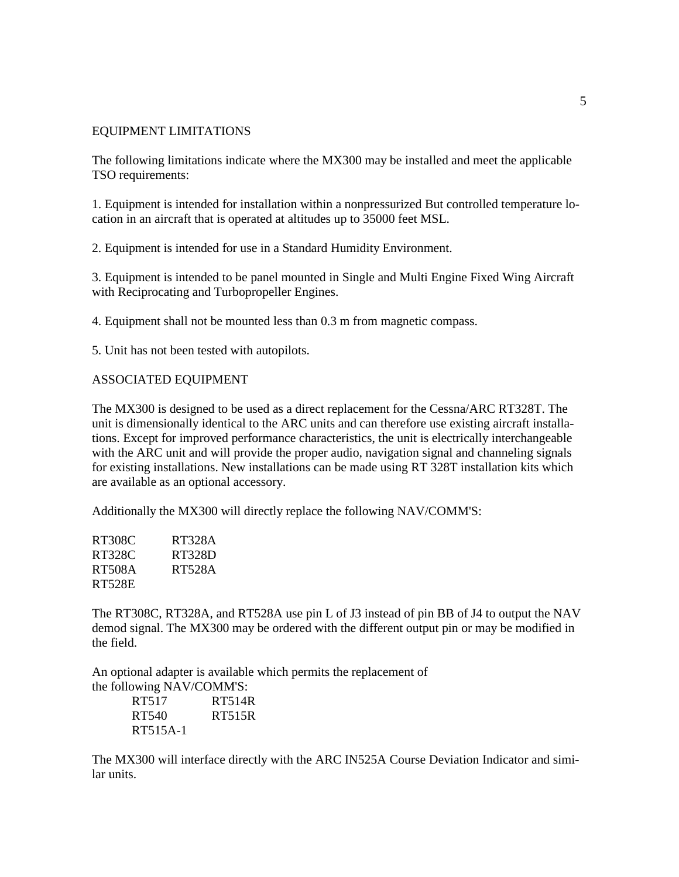### EQUIPMENT LIMITATIONS

The following limitations indicate where the MX300 may be installed and meet the applicable TSO requirements:

1. Equipment is intended for installation within a nonpressurized But controlled temperature location in an aircraft that is operated at altitudes up to 35000 feet MSL.

2. Equipment is intended for use in a Standard Humidity Environment.

3. Equipment is intended to be panel mounted in Single and Multi Engine Fixed Wing Aircraft with Reciprocating and Turbopropeller Engines.

4. Equipment shall not be mounted less than 0.3 m from magnetic compass.

5. Unit has not been tested with autopilots.

#### ASSOCIATED EQUIPMENT

The MX300 is designed to be used as a direct replacement for the Cessna/ARC RT328T. The unit is dimensionally identical to the ARC units and can therefore use existing aircraft installations. Except for improved performance characteristics, the unit is electrically interchangeable with the ARC unit and will provide the proper audio, navigation signal and channeling signals for existing installations. New installations can be made using RT 328T installation kits which are available as an optional accessory.

Additionally the MX300 will directly replace the following NAV/COMM'S:

| RT328A |
|--------|
| RT328D |
| RT528A |
|        |
|        |

The RT308C, RT328A, and RT528A use pin L of J3 instead of pin BB of J4 to output the NAV demod signal. The MX300 may be ordered with the different output pin or may be modified in the field.

An optional adapter is available which permits the replacement of the following NAV/COMM'S:

| RT517    | RT514R |
|----------|--------|
| RT540    | RT515R |
| RT515A-1 |        |

The MX300 will interface directly with the ARC IN525A Course Deviation Indicator and similar units.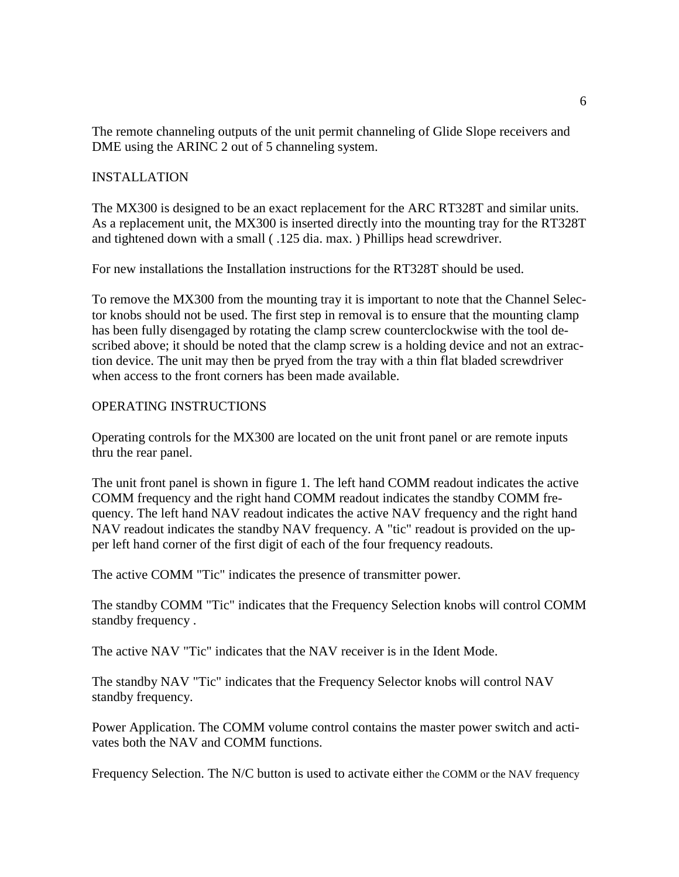The remote channeling outputs of the unit permit channeling of Glide Slope receivers and DME using the ARINC 2 out of 5 channeling system.

## INSTALLATION

The MX300 is designed to be an exact replacement for the ARC RT328T and similar units. As a replacement unit, the MX300 is inserted directly into the mounting tray for the RT328T and tightened down with a small ( .125 dia. max. ) Phillips head screwdriver.

For new installations the Installation instructions for the RT328T should be used.

To remove the MX300 from the mounting tray it is important to note that the Channel Selector knobs should not be used. The first step in removal is to ensure that the mounting clamp has been fully disengaged by rotating the clamp screw counterclockwise with the tool described above; it should be noted that the clamp screw is a holding device and not an extraction device. The unit may then be pryed from the tray with a thin flat bladed screwdriver when access to the front corners has been made available.

## OPERATING INSTRUCTIONS

Operating controls for the MX300 are located on the unit front panel or are remote inputs thru the rear panel.

The unit front panel is shown in figure 1. The left hand COMM readout indicates the active COMM frequency and the right hand COMM readout indicates the standby COMM frequency. The left hand NAV readout indicates the active NAV frequency and the right hand NAV readout indicates the standby NAV frequency. A "tic" readout is provided on the upper left hand corner of the first digit of each of the four frequency readouts.

The active COMM "Tic" indicates the presence of transmitter power.

The standby COMM "Tic" indicates that the Frequency Selection knobs will control COMM standby frequency .

The active NAV "Tic" indicates that the NAV receiver is in the Ident Mode.

The standby NAV "Tic" indicates that the Frequency Selector knobs will control NAV standby frequency.

Power Application. The COMM volume control contains the master power switch and activates both the NAV and COMM functions.

Frequency Selection. The N/C button is used to activate either the COMM or the NAV frequency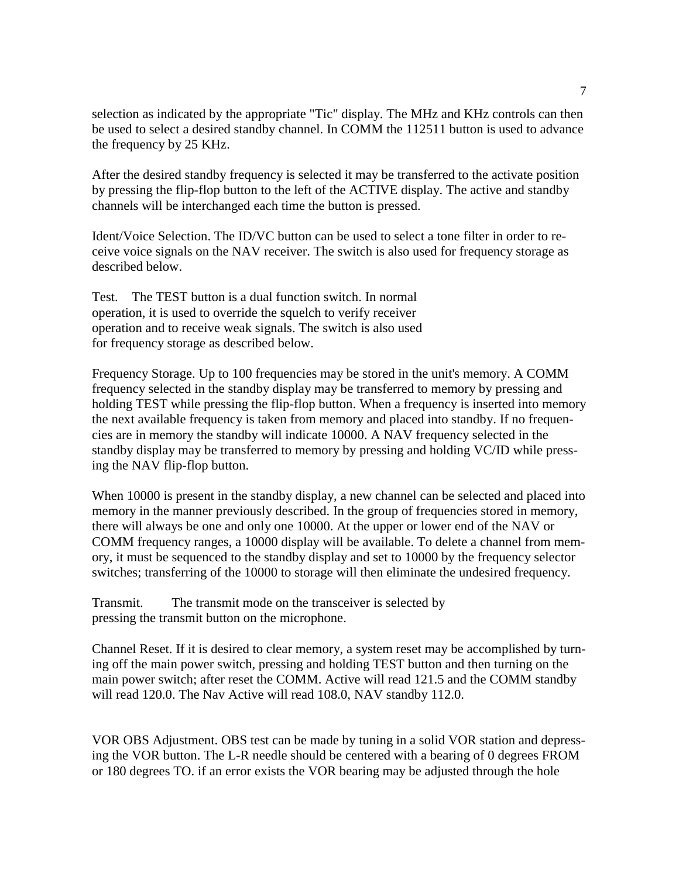selection as indicated by the appropriate "Tic" display. The MHz and KHz controls can then be used to select a desired standby channel. In COMM the 112511 button is used to advance the frequency by 25 KHz.

After the desired standby frequency is selected it may be transferred to the activate position by pressing the flip-flop button to the left of the ACTIVE display. The active and standby channels will be interchanged each time the button is pressed.

Ident/Voice Selection. The ID/VC button can be used to select a tone filter in order to receive voice signals on the NAV receiver. The switch is also used for frequency storage as described below.

Test. The TEST button is a dual function switch. In normal operation, it is used to override the squelch to verify receiver operation and to receive weak signals. The switch is also used for frequency storage as described below.

Frequency Storage. Up to 100 frequencies may be stored in the unit's memory. A COMM frequency selected in the standby display may be transferred to memory by pressing and holding TEST while pressing the flip-flop button. When a frequency is inserted into memory the next available frequency is taken from memory and placed into standby. If no frequencies are in memory the standby will indicate 10000. A NAV frequency selected in the standby display may be transferred to memory by pressing and holding VC/ID while pressing the NAV flip-flop button.

When 10000 is present in the standby display, a new channel can be selected and placed into memory in the manner previously described. In the group of frequencies stored in memory, there will always be one and only one 10000. At the upper or lower end of the NAV or COMM frequency ranges, a 10000 display will be available. To delete a channel from memory, it must be sequenced to the standby display and set to 10000 by the frequency selector switches; transferring of the 10000 to storage will then eliminate the undesired frequency.

Transmit. The transmit mode on the transceiver is selected by pressing the transmit button on the microphone.

Channel Reset. If it is desired to clear memory, a system reset may be accomplished by turning off the main power switch, pressing and holding TEST button and then turning on the main power switch; after reset the COMM. Active will read 121.5 and the COMM standby will read 120.0. The Nav Active will read 108.0, NAV standby 112.0.

VOR OBS Adjustment. OBS test can be made by tuning in a solid VOR station and depressing the VOR button. The L-R needle should be centered with a bearing of 0 degrees FROM or 180 degrees TO. if an error exists the VOR bearing may be adjusted through the hole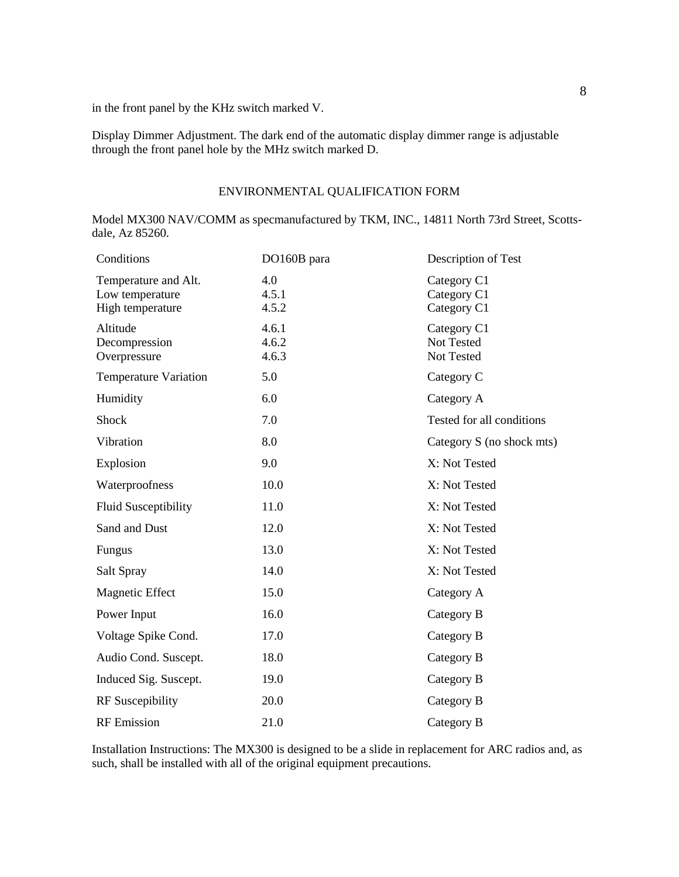in the front panel by the KHz switch marked V.

Display Dimmer Adjustment. The dark end of the automatic display dimmer range is adjustable through the front panel hole by the MHz switch marked D.

## ENVIRONMENTAL QUALIFICATION FORM

Model MX300 NAV/COMM as specmanufactured by TKM, INC., 14811 North 73rd Street, Scottsdale, Az 85260.

| Conditions                                                  | DO160B para             | Description of Test                       |
|-------------------------------------------------------------|-------------------------|-------------------------------------------|
| Temperature and Alt.<br>Low temperature<br>High temperature | 4.0<br>4.5.1<br>4.5.2   | Category C1<br>Category C1<br>Category C1 |
| Altitude<br>Decompression<br>Overpressure                   | 4.6.1<br>4.6.2<br>4.6.3 | Category C1<br>Not Tested<br>Not Tested   |
| <b>Temperature Variation</b>                                | 5.0                     | Category C                                |
| Humidity                                                    | 6.0                     | Category A                                |
| Shock                                                       | 7.0                     | Tested for all conditions                 |
| Vibration                                                   | 8.0                     | Category S (no shock mts)                 |
| Explosion                                                   | 9.0                     | X: Not Tested                             |
| Waterproofness                                              | 10.0                    | X: Not Tested                             |
| <b>Fluid Susceptibility</b>                                 | 11.0                    | X: Not Tested                             |
| Sand and Dust                                               | 12.0                    | X: Not Tested                             |
| Fungus                                                      | 13.0                    | X: Not Tested                             |
| Salt Spray                                                  | 14.0                    | X: Not Tested                             |
| <b>Magnetic Effect</b>                                      | 15.0                    | Category A                                |
| Power Input                                                 | 16.0                    | Category B                                |
| Voltage Spike Cond.                                         | 17.0                    | Category B                                |
| Audio Cond. Suscept.                                        | 18.0                    | Category B                                |
| Induced Sig. Suscept.                                       | 19.0                    | Category B                                |
| <b>RF</b> Suscepibility                                     | 20.0                    | Category B                                |
| <b>RF</b> Emission                                          | 21.0                    | Category B                                |

Installation Instructions: The MX300 is designed to be a slide in replacement for ARC radios and, as such, shall be installed with all of the original equipment precautions.